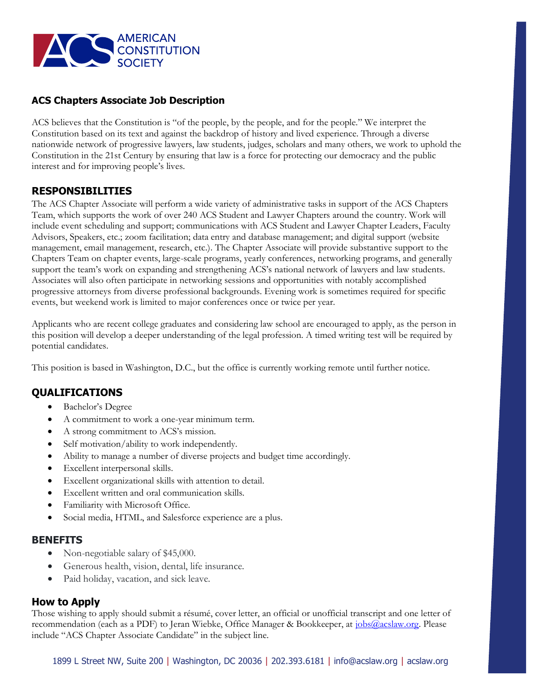

## **ACS Chapters Associate Job Description**

ACS believes that the Constitution is "of the people, by the people, and for the people." We interpret the Constitution based on its text and against the backdrop of history and lived experience. Through a diverse nationwide network of progressive lawyers, law students, judges, scholars and many others, we work to uphold the Constitution in the 21st Century by ensuring that law is a force for protecting our democracy and the public interest and for improving people's lives.

### **RESPONSIBILITIES**

The ACS Chapter Associate will perform a wide variety of administrative tasks in support of the ACS Chapters Team, which supports the work of over 240 ACS Student and Lawyer Chapters around the country. Work will include event scheduling and support; communications with ACS Student and Lawyer Chapter Leaders, Faculty Advisors, Speakers, etc.; zoom facilitation; data entry and database management; and digital support (website management, email management, research, etc.). The Chapter Associate will provide substantive support to the Chapters Team on chapter events, large-scale programs, yearly conferences, networking programs, and generally support the team's work on expanding and strengthening ACS's national network of lawyers and law students. Associates will also often participate in networking sessions and opportunities with notably accomplished progressive attorneys from diverse professional backgrounds. Evening work is sometimes required for specific events, but weekend work is limited to major conferences once or twice per year.

Applicants who are recent college graduates and considering law school are encouraged to apply, as the person in this position will develop a deeper understanding of the legal profession. A timed writing test will be required by potential candidates.

This position is based in Washington, D.C., but the office is currently working remote until further notice.

# **QUALIFICATIONS**

- Bachelor's Degree
- A commitment to work a one-year minimum term.
- A strong commitment to ACS's mission.
- Self motivation/ability to work independently.
- Ability to manage a number of diverse projects and budget time accordingly.
- Excellent interpersonal skills.
- Excellent organizational skills with attention to detail.
- Excellent written and oral communication skills.
- Familiarity with Microsoft Office.
- Social media, HTML, and Salesforce experience are a plus.

### **BENEFITS**

- Non-negotiable salary of \$45,000.
- Generous health, vision, dental, life insurance.
- Paid holiday, vacation, and sick leave.

### **How to Apply**

Those wishing to apply should submit a résumé, cover letter, an official or unofficial transcript and one letter of recommendation (each as a PDF) to Jeran Wiebke, Office Manager & Bookkeeper, at [jobs@acslaw.org.](mailto:jobs@acslaw.org) Please include "ACS Chapter Associate Candidate" in the subject line.